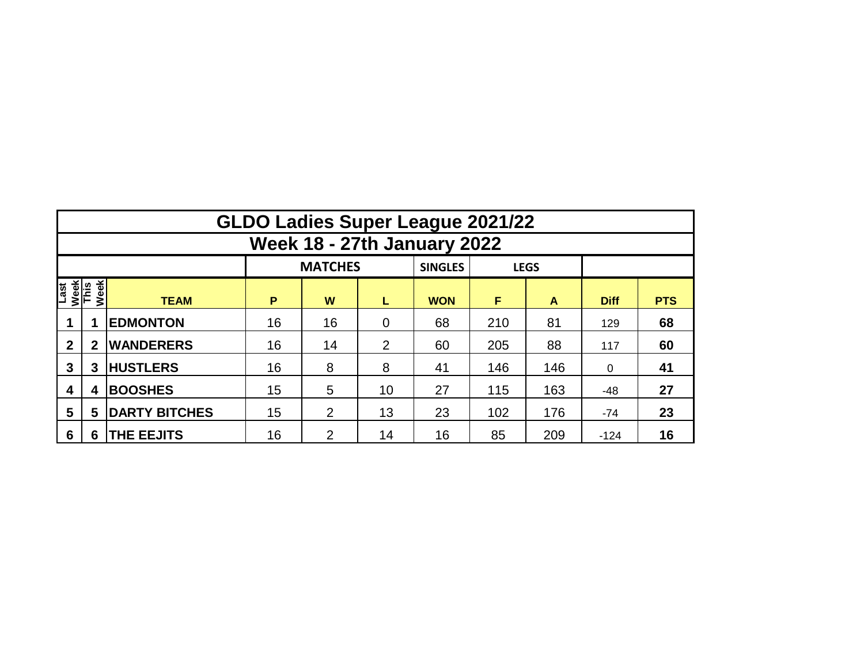|                                     | <b>GLDO Ladies Super League 2021/22</b> |                      |    |             |                |            |     |     |             |            |  |  |  |  |  |
|-------------------------------------|-----------------------------------------|----------------------|----|-------------|----------------|------------|-----|-----|-------------|------------|--|--|--|--|--|
|                                     | <b>Week 18 - 27th January 2022</b>      |                      |    |             |                |            |     |     |             |            |  |  |  |  |  |
|                                     |                                         |                      |    | <b>LEGS</b> |                |            |     |     |             |            |  |  |  |  |  |
| Week<br>This<br>Week<br><b>Last</b> |                                         | <b>TEAM</b>          | P  | W           | L              | <b>WON</b> | F   | A   | <b>Diff</b> | <b>PTS</b> |  |  |  |  |  |
|                                     |                                         | <b>EDMONTON</b>      | 16 | 16          | $\overline{0}$ | 68         | 210 | 81  | 129         | 68         |  |  |  |  |  |
| $\mathbf{2}$                        | $\mathbf{2}$                            | <b>WANDERERS</b>     | 16 | 14          | 2              | 60         | 205 | 88  | 117         | 60         |  |  |  |  |  |
| 3                                   | 3                                       | <b>HUSTLERS</b>      | 16 | 8           | 8              | 41         | 146 | 146 | $\Omega$    | 41         |  |  |  |  |  |
| 4                                   | 4                                       | <b>BOOSHES</b>       | 15 | 5           | 10             | 27         | 115 | 163 | -48         | 27         |  |  |  |  |  |
| 5                                   | 5                                       | <b>DARTY BITCHES</b> | 15 | 2           | 13             | 23         | 102 | 176 | $-74$       | 23         |  |  |  |  |  |
| $6\phantom{1}6$                     | 6                                       | <b>THE EEJITS</b>    | 16 | 2           | 14             | 16         | 85  | 209 | $-124$      | 16         |  |  |  |  |  |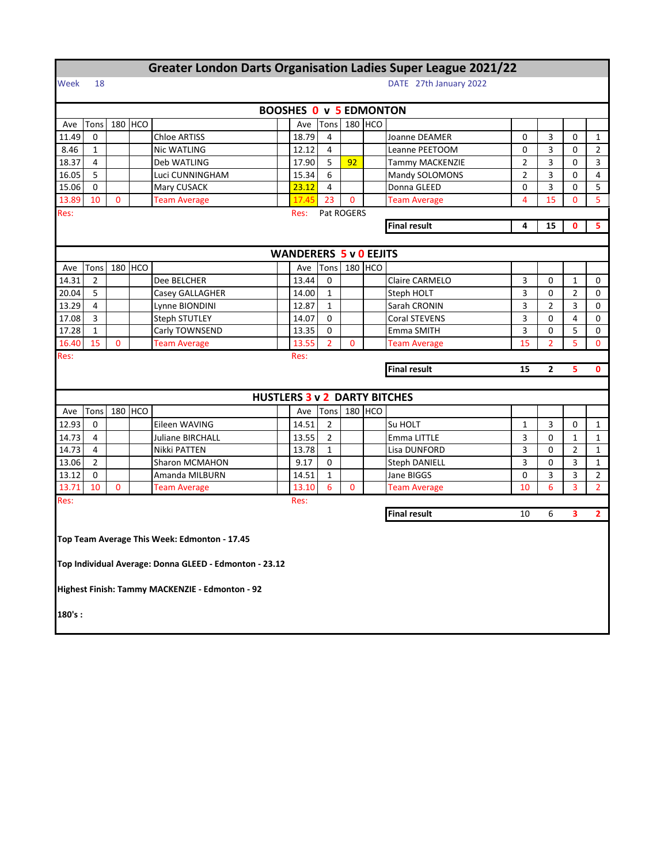|                                                               |                                                  |             |         | <b>Greater London Darts Organisation Ladies Super League 2021/22</b> |                                     |                               |                |              |                |                        |                |              |                |                |  |
|---------------------------------------------------------------|--------------------------------------------------|-------------|---------|----------------------------------------------------------------------|-------------------------------------|-------------------------------|----------------|--------------|----------------|------------------------|----------------|--------------|----------------|----------------|--|
| Week                                                          | 18                                               |             |         |                                                                      |                                     |                               |                |              |                | DATE 27th January 2022 |                |              |                |                |  |
|                                                               |                                                  |             |         |                                                                      | <b>BOOSHES 0 v 5 EDMONTON</b>       |                               |                |              |                |                        |                |              |                |                |  |
| Ave                                                           | Tons                                             |             | 180 HCO |                                                                      |                                     | Ave                           | Tons           |              | 180 HCO        |                        |                |              |                |                |  |
| 11.49                                                         | 0                                                |             |         | <b>Chloe ARTISS</b>                                                  |                                     | 18.79                         | 4              |              |                | Joanne DEAMER          | 0              | 3            | 0              | 1              |  |
| 8.46                                                          | $\mathbf{1}$                                     |             |         | Nic WATLING                                                          |                                     | 12.12                         | 4              |              |                | Leanne PEETOOM         | 0              | 3            | 0              | $\overline{2}$ |  |
| 18.37<br>Deb WATLING<br>17.90<br>5<br>4                       |                                                  |             |         |                                                                      |                                     |                               |                | 92           |                | Tammy MACKENZIE        | $\overline{2}$ | 3            | 0              | 3              |  |
| 16.05<br>5<br>Luci CUNNINGHAM<br>15.34<br>6<br>Mandy SOLOMONS |                                                  |             |         |                                                                      |                                     |                               |                |              | $\overline{2}$ | 3                      | 0              | 4            |                |                |  |
| 15.06                                                         | 0                                                |             |         | Mary CUSACK                                                          |                                     | 23.12                         | $\overline{4}$ |              |                | Donna GLEED            | 0              | 3            | 0              | 5              |  |
| 13.89                                                         | 10                                               | 0           |         | <b>Team Average</b>                                                  |                                     | 17.45                         | 23             | 0            |                | <b>Team Average</b>    | 4              | 15           | $\mathbf 0$    | 5              |  |
| Res:                                                          |                                                  |             |         |                                                                      |                                     | Res:                          |                | Pat ROGERS   |                |                        |                |              |                |                |  |
| <b>Final result</b><br>4<br>15<br>0                           |                                                  |             |         |                                                                      |                                     |                               |                |              |                |                        |                |              | 5              |                |  |
|                                                               |                                                  |             |         |                                                                      |                                     |                               |                |              |                |                        |                |              |                |                |  |
|                                                               |                                                  |             |         |                                                                      |                                     | <b>WANDERERS 5 v 0 EEJITS</b> |                |              |                |                        |                |              |                |                |  |
| Ave                                                           | Tons                                             |             | 180 HCO |                                                                      |                                     | Ave                           | Tons           |              | 180 HCO        |                        |                |              |                |                |  |
| 14.31                                                         | $\overline{2}$                                   |             |         | Dee BELCHER                                                          |                                     | 13.44                         | $\Omega$       |              |                | Claire CARMELO         | 3              | 0            | $\mathbf{1}$   | 0              |  |
| 20.04                                                         | 5                                                |             |         | Casey GALLAGHER                                                      |                                     | 14.00                         | $\mathbf{1}$   |              |                | Steph HOLT             | 3              | 0            | $\overline{2}$ | 0              |  |
| 13.29                                                         | 4                                                |             |         | Lynne BIONDINI                                                       |                                     | 12.87                         | 1              |              |                | Sarah CRONIN           | 3              | 2            | 3              | 0              |  |
| 17.08                                                         | 3                                                |             |         | Steph STUTLEY                                                        |                                     | 14.07                         | $\mathbf 0$    |              |                | Coral STEVENS          | 3              | 0            | $\overline{4}$ | 0              |  |
| 17.28                                                         | $\mathbf{1}$                                     |             |         | Carly TOWNSEND                                                       |                                     | 13.35                         | 0              |              |                | Emma SMITH             | 3              | $\Omega$     | 5              | 0              |  |
| 16.40                                                         | 15                                               | 0           |         | <b>Team Average</b>                                                  |                                     | 13.55                         | $\overline{2}$ | 0            |                | <b>Team Average</b>    | 15             | 2            | 5              | 0              |  |
| Res:                                                          |                                                  |             |         |                                                                      |                                     | Res:                          |                |              |                |                        |                |              |                |                |  |
|                                                               | <b>Final result</b><br>$\overline{2}$<br>5<br>15 |             |         |                                                                      |                                     |                               |                |              |                |                        |                | $\mathbf{0}$ |                |                |  |
|                                                               |                                                  |             |         |                                                                      |                                     |                               |                |              |                |                        |                |              |                |                |  |
|                                                               |                                                  |             |         |                                                                      | <b>HUSTLERS 3 v 2 DARTY BITCHES</b> |                               |                |              |                |                        |                |              |                |                |  |
| Ave                                                           | Tons                                             |             | 180 HCO |                                                                      |                                     | Ave                           | Tons           |              | 180 HCO        |                        |                |              |                |                |  |
| 12.93                                                         | 0                                                |             |         | Eileen WAVING                                                        |                                     | 14.51                         | $\overline{2}$ |              |                | Su HOLT                | 1              | 3            | 0              | 1              |  |
| 14.73                                                         | 4                                                |             |         | <b>Juliane BIRCHALL</b>                                              |                                     | 13.55                         | $\overline{2}$ |              |                | Emma LITTLE            | 3              | 0            | $\mathbf{1}$   | $\mathbf{1}$   |  |
| 14.73                                                         | 4                                                |             |         | Nikki PATTEN                                                         |                                     | 13.78                         | $\mathbf{1}$   |              |                | Lisa DUNFORD           | 3              | 0            | $\overline{2}$ | $\mathbf{1}$   |  |
| 13.06                                                         | $\overline{2}$                                   |             |         | Sharon MCMAHON                                                       |                                     | 9.17                          | $\mathbf 0$    |              |                | <b>Steph DANIELL</b>   | 3              | 0            | 3              | $\mathbf{1}$   |  |
| 13.12                                                         | 0                                                |             |         | Amanda MILBURN                                                       |                                     | 14.51                         | $\mathbf{1}$   |              |                | Jane BIGGS             | 0              | 3            | 3              | $\overline{2}$ |  |
| 13.71                                                         | 10                                               | $\mathbf 0$ |         | <b>Team Average</b>                                                  |                                     | 13.10                         | 6              | $\mathbf{0}$ |                | <b>Team Average</b>    | 10             | 6            | 3              | $\overline{2}$ |  |
| Res:                                                          |                                                  |             |         |                                                                      |                                     | Res:                          |                |              |                |                        |                |              |                |                |  |
|                                                               |                                                  |             |         |                                                                      |                                     |                               |                |              |                | <b>Final result</b>    | 10             | 6            | 3              | $\overline{2}$ |  |
|                                                               |                                                  |             |         |                                                                      |                                     |                               |                |              |                |                        |                |              |                |                |  |
|                                                               |                                                  |             |         | Top Team Average This Week: Edmonton - 17.45                         |                                     |                               |                |              |                |                        |                |              |                |                |  |
|                                                               |                                                  |             |         |                                                                      |                                     |                               |                |              |                |                        |                |              |                |                |  |
|                                                               |                                                  |             |         | Top Individual Average: Donna GLEED - Edmonton - 23.12               |                                     |                               |                |              |                |                        |                |              |                |                |  |
|                                                               |                                                  |             |         |                                                                      |                                     |                               |                |              |                |                        |                |              |                |                |  |
|                                                               |                                                  |             |         |                                                                      |                                     |                               |                |              |                |                        |                |              |                |                |  |
|                                                               |                                                  |             |         | Highest Finish: Tammy MACKENZIE - Edmonton - 92                      |                                     |                               |                |              |                |                        |                |              |                |                |  |